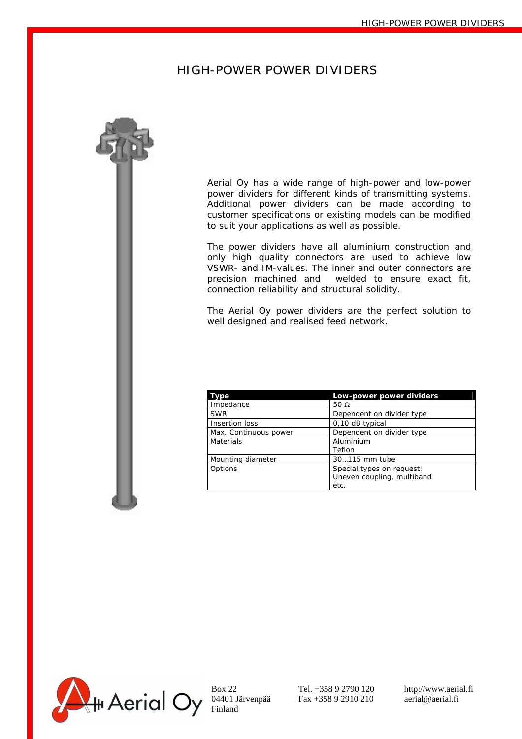## HIGH-POWER POWER DIVIDERS



Aerial Oy has a wide range of high-power and low-power power dividers for different kinds of transmitting systems. Additional power dividers can be made according to customer specifications or existing models can be modified to suit your applications as well as possible.

The power dividers have all aluminium construction and only high quality connectors are used to achieve low VSWR- and IM-values. The inner and outer connectors are precision machined and welded to ensure exact fit, connection reliability and structural solidity.

The Aerial Oy power dividers are the perfect solution to well designed and realised feed network.

| Type                  | Low-power power dividers   |
|-----------------------|----------------------------|
| Impedance             | 50 $\Omega$                |
| <b>SWR</b>            | Dependent on divider type  |
| Insertion loss        | 0,10 dB typical            |
| Max. Continuous power | Dependent on divider type  |
| Materials             | Aluminium                  |
|                       | Teflon                     |
| Mounting diameter     | 30115 mm tube              |
| Options               | Special types on request:  |
|                       | Uneven coupling, multiband |
|                       | etc.                       |



Box 22 Tel. +358 9 2790 120 http://www.aerial.fi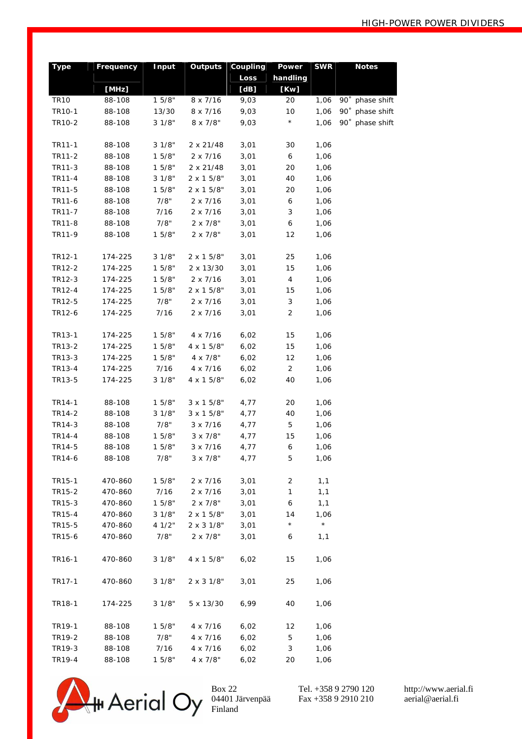| Type        | Frequency | <b>Input</b> | <b>Outputs</b>             | Coupling | Power                   | <b>SWR</b> | <b>Notes</b>    |
|-------------|-----------|--------------|----------------------------|----------|-------------------------|------------|-----------------|
|             |           |              |                            | Loss     | handling                |            |                 |
|             | [MHz]     |              |                            | [dB]     | [Kw]                    |            |                 |
| <b>TR10</b> | 88-108    | 15/8"        | 8 x 7/16                   | 9,03     | 20                      | 1,06       | 90° phase shift |
| TR10-1      | 88-108    | 13/30        | 8 x 7/16                   | 9,03     | 10                      | 1,06       | 90° phase shift |
| TR10-2      | 88-108    | 31/8"        | 8 x 7/8"                   | 9,03     | $^{\star}$              | 1,06       | 90° phase shift |
|             |           |              |                            |          |                         |            |                 |
| TR11-1      | 88-108    | 31/8"        | 2 x 21/48                  | 3,01     | 30                      | 1,06       |                 |
| TR11-2      | 88-108    | 15/8"        | $2 \times 7/16$            | 3,01     | 6                       | 1,06       |                 |
| TR11-3      | 88-108    | 15/8"        | 2 x 21/48                  | 3,01     | 20                      | 1,06       |                 |
| TR11-4      | 88-108    | 31/8"        | 2 x 1 5/8"                 | 3,01     | 40                      | 1,06       |                 |
| TR11-5      | 88-108    | 15/8"        | $2 \times 15/8"$           | 3,01     | 20                      | 1,06       |                 |
| TR11-6      | 88-108    | 7/8"         | $2 \times 7/16$            | 3,01     | 6                       | 1,06       |                 |
| TR11-7      | 88-108    | 7/16         | $2 \times 7/16$            | 3,01     | 3                       | 1,06       |                 |
| TR11-8      | 88-108    | 7/8"         | 2 x 7/8"                   | 3,01     | 6                       | 1,06       |                 |
| TR11-9      | 88-108    | 15/8"        | $2 \times 7/8"$            | 3,01     | 12                      | 1,06       |                 |
|             |           |              |                            |          |                         |            |                 |
| TR12-1      | 174-225   | 31/8"        | $2 \times 15/8"$           | 3,01     | 25                      | 1,06       |                 |
| TR12-2      | 174-225   | 15/8"        | 2 x 13/30                  | 3,01     | 15                      | 1,06       |                 |
| TR12-3      | 174-225   | 15/8"        | $2 \times 7/16$            | 3,01     | $\overline{\mathbf{4}}$ | 1,06       |                 |
| TR12-4      | 174-225   | 15/8"        | $2 \times 15/8"$           | 3,01     | 15                      | 1,06       |                 |
| TR12-5      | 174-225   | 7/8"         | $2 \times 7/16$            | 3,01     | 3                       | 1,06       |                 |
| TR12-6      | 174-225   |              | $2 \times 7/16$            |          | $\overline{2}$          |            |                 |
|             |           | 7/16         |                            | 3,01     |                         | 1,06       |                 |
| TR13-1      | 174-225   | 15/8"        | 4 x 7/16                   | 6,02     | 15                      | 1,06       |                 |
|             |           |              |                            |          |                         |            |                 |
| TR13-2      | 174-225   | 15/8"        | 4 x 1 5/8"                 | 6,02     | 15                      | 1,06       |                 |
| TR13-3      | 174-225   | 15/8"        | $4 \times 7/8$ "           | 6,02     | 12                      | 1,06       |                 |
| TR13-4      | 174-225   | 7/16         | $4 \times 7/16$            | 6,02     | $\overline{c}$          | 1,06       |                 |
| TR13-5      | 174-225   | 31/8"        | 4 x 1 5/8"                 | 6,02     | 40                      | 1,06       |                 |
| TR14-1      | 88-108    | 15/8"        | $3 \times 15/8"$           | 4,77     | 20                      | 1,06       |                 |
| TR14-2      | 88-108    | 31/8"        | $3 \times 15/8"$           | 4,77     | 40                      | 1,06       |                 |
| TR14-3      | 88-108    | 7/8"         | $3 \times 7/16$            | 4,77     | 5                       | 1,06       |                 |
| TR14-4      | 88-108    | 15/8"        | 3 x 7/8"                   | 4,77     | 15                      | 1,06       |                 |
| TR14-5      | 88-108    | 15/8"        | $3 \times 7/16$            | 4,77     | 6                       | 1,06       |                 |
| TR14-6      | 88-108    | 7/8"         | 3 x 7/8"                   | 4,77     | 5                       | 1,06       |                 |
|             |           |              |                            |          |                         |            |                 |
| TR15-1      | 470-860   | 15/8"        | $2 \times 7/16$            | 3,01     | $\overline{2}$          | 1,1        |                 |
| TR15-2      | 470-860   | 7/16         | $2 \times 7/16$            | 3,01     | 1                       | 1,1        |                 |
| TR15-3      | 470-860   | 15/8"        | $2 \times 7/8"$            | 3,01     | 6                       | 1,1        |                 |
| TR15-4      | 470-860   | 31/8"        | $2 \times 15/8"$           | 3,01     | 14                      | 1,06       |                 |
| TR15-5      | 470-860   | 4 1/2"       | $2 \times 3 \frac{1}{8}$ " | 3,01     | $^{\star}$              | $\star$    |                 |
| TR15-6      | 470-860   | 7/8"         | $2 \times 7/8"$            | 3,01     | 6                       | 1,1        |                 |
|             |           |              |                            |          |                         |            |                 |
| TR16-1      | 470-860   | 31/8"        | 4 x 1 5/8"                 | 6,02     | 15                      | 1,06       |                 |
|             |           |              |                            |          |                         |            |                 |
| TR17-1      | 470-860   | 31/8"        | 2 x 3 1/8"                 | 3,01     | 25                      | 1,06       |                 |
|             |           |              |                            |          |                         |            |                 |
| TR18-1      | 174-225   | 31/8"        | 5 x 13/30                  | 6,99     | 40                      | 1,06       |                 |
|             |           |              |                            |          |                         |            |                 |
| TR19-1      | 88-108    | 15/8"        | $4 \times 7/16$            | 6,02     | 12                      | 1,06       |                 |
| TR19-2      | 88-108    | 7/8"         | $4 \times 7/16$            | 6,02     | 5                       | 1,06       |                 |
| TR19-3      | 88-108    | 7/16         | $4 \times 7/16$            | 6,02     | 3                       | 1,06       |                 |
| TR19-4      | 88-108    | 15/8"        | 4 x 7/8"                   | 6,02     | 20                      | 1,06       |                 |
|             |           |              |                            |          |                         |            |                 |

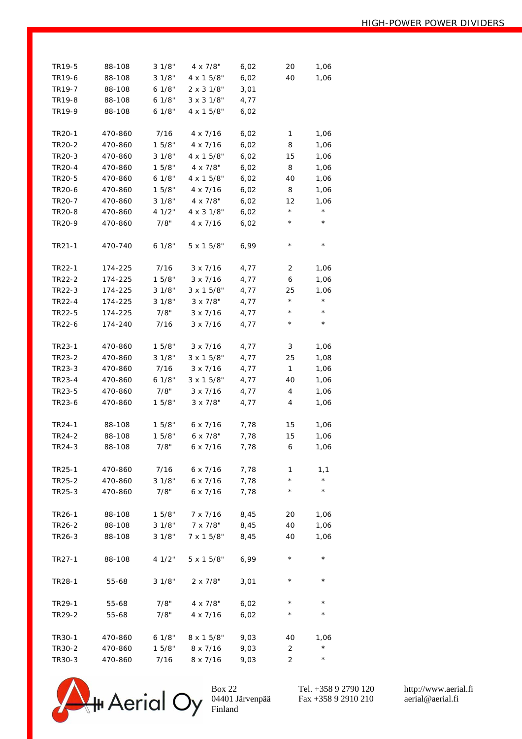| TR19-5 | 88-108  | 31/8"  | 4 x 7/8"          | 6,02 | 20         | 1,06       |
|--------|---------|--------|-------------------|------|------------|------------|
| TR19-6 | 88-108  | 31/8"  | 4 x 1 5/8"        | 6,02 | 40         | 1,06       |
| TR19-7 | 88-108  | 61/8"  | 2 x 3 1/8"        | 3,01 |            |            |
| TR19-8 | 88-108  | 61/8"  | 3 x 3 1/8"        | 4,77 |            |            |
| TR19-9 | 88-108  | 61/8"  | 4 x 1 5/8"        | 6,02 |            |            |
|        |         |        |                   |      |            |            |
| TR20-1 | 470-860 | 7/16   | $4 \times 7/16$   | 6,02 | 1          | 1,06       |
| TR20-2 | 470-860 | 15/8"  | 4 x 7/16          | 6,02 | 8          | 1,06       |
| TR20-3 | 470-860 | 31/8"  | 4 x 1 5/8"        | 6,02 | 15         | 1,06       |
| TR20-4 | 470-860 | 15/8"  | 4 x 7/8"          | 6,02 | 8          | 1,06       |
| TR20-5 | 470-860 | 61/8"  | 4 x 1 5/8"        | 6,02 | 40         | 1,06       |
| TR20-6 | 470-860 | 15/8"  | $4 \times 7/16$   | 6,02 | 8          | 1,06       |
| TR20-7 | 470-860 | 31/8"  | $4 \times 7/8$ "  | 6,02 | 12         | 1,06       |
| TR20-8 | 470-860 | 4 1/2" | 4 x 3 1/8"        | 6,02 | $^{\star}$ | $^{\star}$ |
| TR20-9 | 470-860 | 7/8"   | 4 x 7/16          | 6,02 | $\star$    | $^{\star}$ |
| TR21-1 | 470-740 | 61/8"  | 5 x 1 5/8"        | 6,99 | $^\star$   | $\star$    |
| TR22-1 | 174-225 | 7/16   | 3 x 7/16          | 4,77 | 2          | 1,06       |
| TR22-2 | 174-225 | 15/8"  | $3 \times 7/16$   | 4,77 | 6          | 1,06       |
| TR22-3 | 174-225 | 3 1/8" | $3 \times 15/8"$  | 4,77 | 25         | 1,06       |
| TR22-4 | 174-225 | 3 1/8" | $3 \times 7/8$ "  | 4,77 | $^{\star}$ | $\star$    |
| TR22-5 | 174-225 | 7/8"   | 3 x 7/16          | 4,77 | $\star$    | $^{\star}$ |
| TR22-6 | 174-240 | 7/16   | $3 \times 7/16$   | 4,77 | $^\star$   | $\star$    |
|        |         |        |                   |      |            |            |
| TR23-1 | 470-860 | 1 5/8" | $3 \times 7/16$   | 4,77 | 3          | 1,06       |
| TR23-2 | 470-860 | 31/8"  | $3 \times 15/8$ " | 4,77 | 25         | 1,08       |
| TR23-3 | 470-860 | 7/16   | $3 \times 7/16$   | 4,77 | 1          | 1,06       |
| TR23-4 | 470-860 | 61/8"  | $3 \times 15/8"$  | 4,77 | 40         | 1,06       |
| TR23-5 | 470-860 | 7/8"   | $3 \times 7/16$   | 4,77 | 4          | 1,06       |
| TR23-6 | 470-860 | 15/8"  | 3 x 7/8"          | 4,77 | 4          | 1,06       |
|        |         |        |                   |      |            |            |
| TR24-1 | 88-108  | 15/8"  | $6 \times 7/16$   | 7,78 | 15         | 1,06       |
| TR24-2 | 88-108  | 1 5/8" | $6 \times 7/8"$   | 7,78 | 15         | 1,06       |
| TR24-3 | 88-108  | 7/8"   | 6 x 7/16          | 7,78 | 6          | 1,06       |
| TR25-1 | 470-860 | 7/16   | 6 x 7/16          | 7,78 | 1          | 1,1        |
| TR25-2 | 470-860 | 31/8"  | $6 \times 7/16$   | 7,78 | $^\star$   | $^{\star}$ |
| TR25-3 | 470-860 | 7/8"   | 6 x 7/16          | 7,78 | $\star$    | $\star$    |
| TR26-1 | 88-108  | 15/8"  | $7 \times 7/16$   | 8,45 | 20         | 1,06       |
| TR26-2 | 88-108  | 31/8"  | $7 \times 7/8"$   | 8,45 | 40         | 1,06       |
| TR26-3 | 88-108  | 31/8"  | 7 x 1 5/8"        | 8,45 | 40         | 1,06       |
| TR27-1 | 88-108  | 4 1/2" | 5 x 1 5/8"        | 6,99 | $^\star$   | $\star$    |
| TR28-1 | 55-68   | 31/8"  | $2 \times 7/8$ "  | 3,01 | $^\star$   | $^{\star}$ |
| TR29-1 | 55-68   | 7/8"   | $4 \times 7/8$ "  | 6,02 | $^\star$   | $^{\star}$ |
| TR29-2 | 55-68   | 7/8"   | $4 \times 7/16$   | 6,02 | $^\star$   | $^{\star}$ |
|        |         |        |                   |      |            |            |
| TR30-1 | 470-860 | 61/8"  | $8 \times 15/8"$  | 9,03 | 40         | 1,06       |
| TR30-2 | 470-860 | 15/8"  | $8 \times 7/16$   | 9,03 | 2          | $^\star$   |
| TR30-3 | 470-860 | 7/16   | 8 x 7/16          | 9,03 | 2          | $^{\star}$ |
|        |         |        |                   |      |            |            |